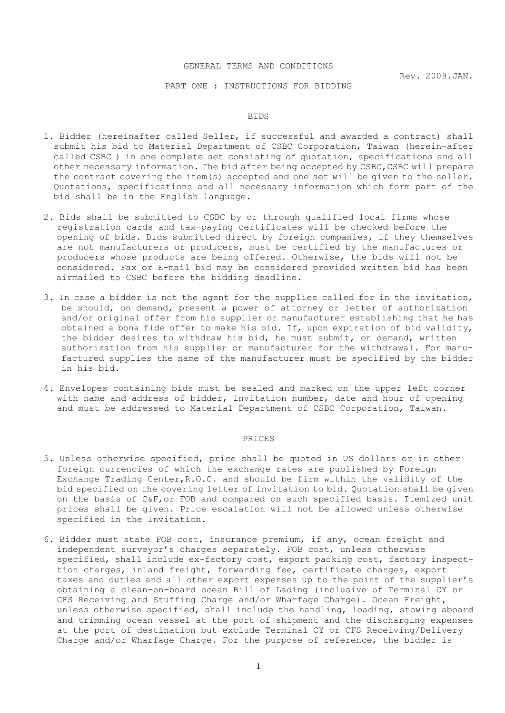### GENERAL TERMS AND CONDITIONS

Rev. 2009.JAN.

### PART ONE : INSTRUCTIONS FOR BIDDING

#### BIDS

- 1. Bidder (hereinafter called Seller, if successful and awarded a contract) shall submit his bid to Material Department of CSBC Corporation, Taiwan (herein-after called CSBC ) in one complete set consisting of quotation, specifications and all other necessary information. The bid after being accepted by CSBC, CSBC will prepare the contract covering the item(s) accepted and one set will be given to the seller. Quotations, specifications and all necessary information which form part of the bid shall be in the English language.
- 2. Bids shall be submitted to CSBC by or through qualified local firms whose registration cards and tax-paying certificates will be checked before the opening of bids. Bids submitted direct by foreign companies, if they themselves are not manufacturers or producers, must be certified by the manufactures or producers whose products are being offered. Otherwise, the bids will not be considered. Fax or E-mail bid may be considered provided written bid has been airmailed to CSBC before the bidding deadline.
- 3. In case a bidder is not the agent for the supplies called for in the invitation, be should, on demand, present a power of attorney or letter of authorization and/or original offer from his supplier or manufacturer establishing that he has obtained a bona fide offer to make his bid. If, upon expiration of bid validity, the bidder desires to withdraw his bid, he must submit, on demand, written authorization from his supplier or manufacturer for the withdrawal. For manu factured supplies the name of the manufacturer must be specified by the bidder in his bid.
- 4. Envelopes containing bids must be sealed and marked on the upper left corner with name and address of bidder, invitation number, date and hour of opening and must be addressed to Material Department of CSBC Corporation, Taiwan.

#### PRICES

- 5. Unless otherwise specified, price shall be quoted in US dollars or in other foreign currencies of which the exchange rates are published by Foreign Exchange Trading Center,R.O.C. and should be firm within the validity of the bid specified on the covering letter of invitation to bid. Quotation shall be given on the basis of C&F,or FOB and compared on such specified basis. Itemized unit prices shall be given. Price escalation will not be allowed unless otherwise specified in the Invitation.
- 6. Bidder must state FOB cost, insurance premium, if any, ocean freight and independent surveyor's charges separately. FOB cost, unless otherwise specified, shall include ex-factory cost, export packing cost, factory inspect tion charges, inland freight, forwarding fee, certificate charges, export taxes and duties and all other export expenses up to the point of the supplier's obtaining a clean-on-board ocean Bill of Lading (inclusive of Terminal CY or CFS Receiving and Stuffing Charge and/or Wharfage Charge). Ocean Freight, unless otherwise specified, shall include the handling, loading, stowing aboard and trimming ocean vessel at the port of shipment and the discharging expenses at the port of destination but exclude Terminal CY or CFS Receiving/Delivery Charge and/or Wharfage Charge. For the purpose of reference, the bidder is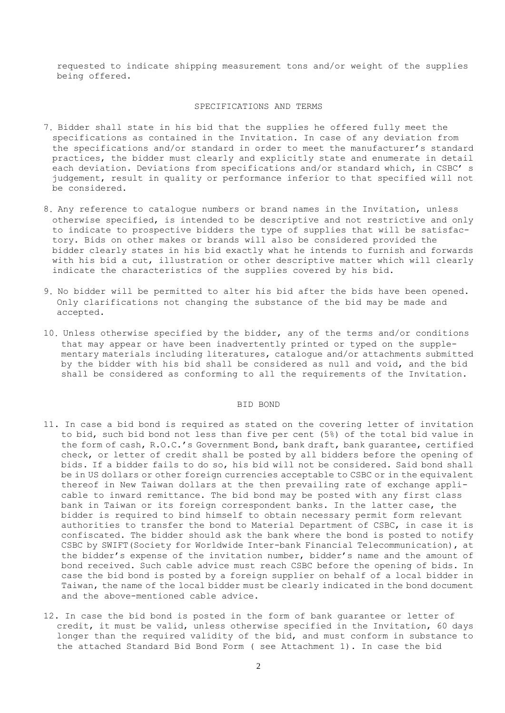requested to indicate shipping measurement tons and/or weight of the supplies being offered.

# SPECIFICATIONS AND TERMS

- 7. Bidder shall state in his bid that the supplies he offered fully meet the specifications as contained in the Invitation. In case of any deviation from the specifications and/or standard in order to meet the manufacturer's standard practices, the bidder must clearly and explicitly state and enumerate in detail each deviation. Deviations from specifications and/or standard which, in CSBC' s judgement, result in quality or performance inferior to that specified will not be considered.
- 8. Any reference to catalogue numbers or brand names in the Invitation, unless otherwise specified, is intended to be descriptive and not restrictive and only to indicate to prospective bidders the type of supplies that will be satisfactory. Bids on other makes or brands will also be considered provided the bidder clearly states in his bid exactly what he intends to furnish and forwards with his bid a cut, illustration or other descriptive matter which will clearly indicate the characteristics of the supplies covered by his bid.
- 9. No bidder will be permitted to alter his bid after the bids have been opened. Only clarifications not changing the substance of the bid may be made and accepted.
- 10. Unless otherwise specified by the bidder, any of the terms and/or conditions that may appear or have been inadvertently printed or typed on the supplementary materials including literatures, catalogue and/or attachments submitted by the bidder with his bid shall be considered as null and void, and the bid shall be considered as conforming to all the requirements of the Invitation.

# BID BOND

- 11. In case a bid bond is required as stated on the covering letter of invitation to bid, such bid bond not less than five per cent (5%) of the total bid value in the form of cash, R.O.C.'s Government Bond, bank draft, bank guarantee, certified check, or letter of credit shall be posted by all bidders before the opening of bids. If a bidder fails to do so, his bid will not be considered. Said bond shall be in US dollars or other foreign currencies acceptable to CSBC or in the equivalent thereof in New Taiwan dollars at the then prevailing rate of exchange applicable to inward remittance. The bid bond may be posted with any first class bank in Taiwan or its foreign correspondent banks. In the latter case, the bidder is required to bind himself to obtain necessary permit form relevant authorities to transfer the bond to Material Department of CSBC, in case it is confiscated. The bidder should ask the bank where the bond is posted to notify CSBC by SWIFT(Society for Worldwide Inter-bank Financial Telecommunication), at the bidder's expense of the invitation number, bidder's name and the amount of bond received. Such cable advice must reach CSBC before the opening of bids. In case the bid bond is posted by a foreign supplier on behalf of a local bidder in Taiwan, the name of the local bidder must be clearly indicated in the bond document and the above-mentioned cable advice.
- 12. In case the bid bond is posted in the form of bank guarantee or letter of credit, it must be valid, unless otherwise specified in the Invitation, 60 days longer than the required validity of the bid, and must conform in substance to the attached Standard Bid Bond Form ( see Attachment 1). In case the bid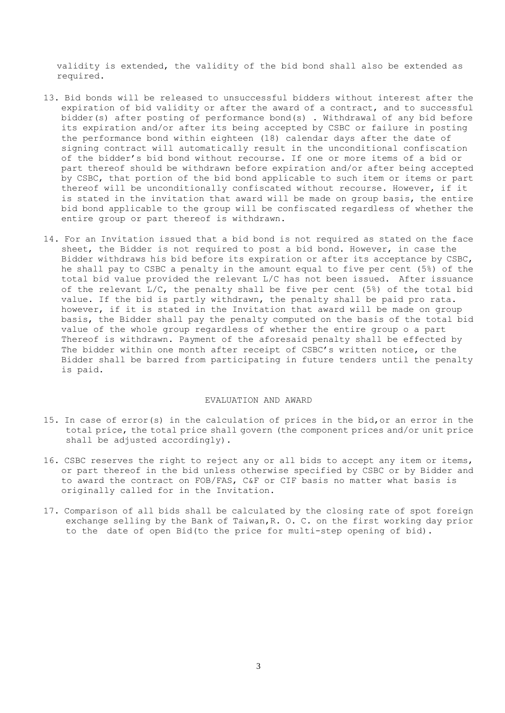validity is extended, the validity of the bid bond shall also be extended as required.

- 13. Bid bonds will be released to unsuccessful bidders without interest after the expiration of bid validity or after the award of a contract, and to successful bidder(s) after posting of performance bond(s) . Withdrawal of any bid before its expiration and/or after its being accepted by CSBC or failure in posting the performance bond within eighteen (18) calendar days after the date of signing contract will automatically result in the unconditional confiscation of the bidder's bid bond without recourse. If one or more items of a bid or part thereof should be withdrawn before expiration and/or after being accepted by CSBC, that portion of the bid bond applicable to such item or items or part thereof will be unconditionally confiscated without recourse. However, if it is stated in the invitation that award will be made on group basis, the entire bid bond applicable to the group will be confiscated regardless of whether the entire group or part thereof is withdrawn.
- 14. For an Invitation issued that a bid bond is not required as stated on the face sheet, the Bidder is not required to post a bid bond. However, in case the Bidder withdraws his bid before its expiration or after its acceptance by CSBC, he shall pay to CSBC a penalty in the amount equal to five per cent (5%) of the total bid value provided the relevant L/C has not been issued. After issuance of the relevant  $L/C$ , the penalty shall be five per cent (5%) of the total bid value. If the bid is partly withdrawn, the penalty shall be paid pro rata. however, if it is stated in the Invitation that award will be made on group basis, the Bidder shall pay the penalty computed on the basis of the total bid value of the whole group regardless of whether the entire group o a part Thereof is withdrawn. Payment of the aforesaid penalty shall be effected by The bidder within one month after receipt of CSBC's written notice, or the Bidder shall be barred from participating in future tenders until the penalty is paid.

# EVALUATION AND AWARD

- 15. In case of error(s) in the calculation of prices in the bid,or an error in the total price, the total price shall govern (the component prices and/or unit price shall be adjusted accordingly).
- 16. CSBC reserves the right to reject any or all bids to accept any item or items, or part thereof in the bid unless otherwise specified by CSBC or by Bidder and to award the contract on FOB/FAS, C&F or CIF basis no matter what basis is originally called for in the Invitation.
- 17. Comparison of all bids shall be calculated by the closing rate of spot foreign exchange selling by the Bank of Taiwan,R. O. C. on the first working day prior to the date of open Bid(to the price for multi-step opening of bid).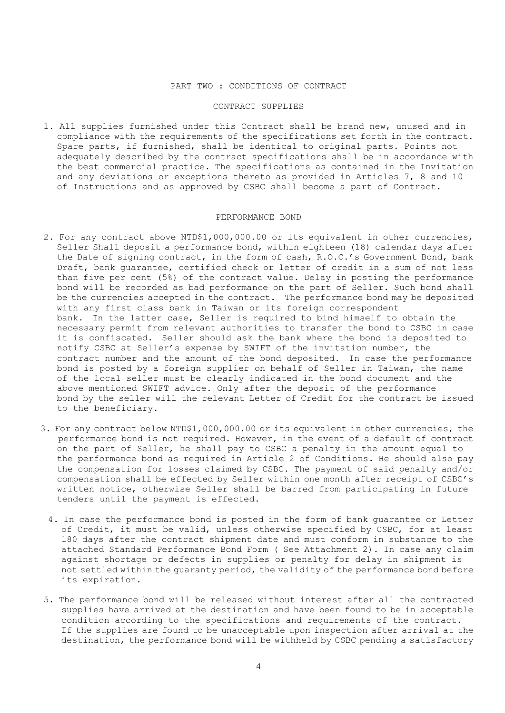# PART TWO : CONDITIONS OF CONTRACT

# CONTRACT SUPPLIES

1. All supplies furnished under this Contract shall be brand new, unused and in compliance with the requirements of the specifications set forth in the contract. Spare parts, if furnished, shall be identical to original parts. Points not adequately described by the contract specifications shall be in accordance with the best commercial practice. The specifications as contained in the Invitation and any deviations or exceptions thereto as provided in Articles 7, 8 and 10 of Instructions and as approved by CSBC shall become a part of Contract.

### PERFORMANCE BOND

- 2. For any contract above NTD\$1,000,000.00 or its equivalent in other currencies, Seller Shall deposit a performance bond, within eighteen (18) calendar days after the Date of signing contract, in the form of cash, R.O.C.'s Government Bond, bank Draft, bank guarantee, certified check or letter of credit in a sum of not less than five per cent (5%) of the contract value. Delay in posting the performance bond will be recorded as bad performance on the part of Seller. Such bond shall be the currencies accepted in the contract. The performance bond may be deposited with any first class bank in Taiwan or its foreign correspondent bank. In the latter case, Seller is required to bind himself to obtain the necessary permit from relevant authorities to transfer the bond to CSBC in case it is confiscated. Seller should ask the bank where the bond is deposited to notify CSBC at Seller's expense by SWIFT of the invitation number, the contract number and the amount of the bond deposited. In case the performance bond is posted by a foreign supplier on behalf of Seller in Taiwan, the name of the local seller must be clearly indicated in the bond document and the above mentioned SWIFT advice. Only after the deposit of the performance bond by the seller will the relevant Letter of Credit for the contract be issued to the beneficiary.
- 3. For any contract below NTD\$1,000,000.00 or its equivalent in other currencies, the performance bond is not required. However, in the event of a default of contract on the part of Seller, he shall pay to CSBC a penalty in the amount equal to the performance bond as required in Article 2 of Conditions. He should also pay the compensation for losses claimed by CSBC. The payment of said penalty and/or compensation shall be effected by Seller within one month after receipt of CSBC's written notice, otherwise Seller shall be barred from participating in future tenders until the payment is effected.
	- 4. In case the performance bond is posted in the form of bank guarantee or Letter of Credit, it must be valid, unless otherwise specified by CSBC, for at least 180 days after the contract shipment date and must conform in substance to the attached Standard Performance Bond Form ( See Attachment 2). In case any claim against shortage or defects in supplies or penalty for delay in shipment is not settled within the guaranty period, the validity of the performance bond before its expiration.
- 5. The performance bond will be released without interest after all the contracted supplies have arrived at the destination and have been found to be in acceptable condition according to the specifications and requirements of the contract. If the supplies are found to be unacceptable upon inspection after arrival at the destination, the performance bond will be withheld by CSBC pending a satisfactory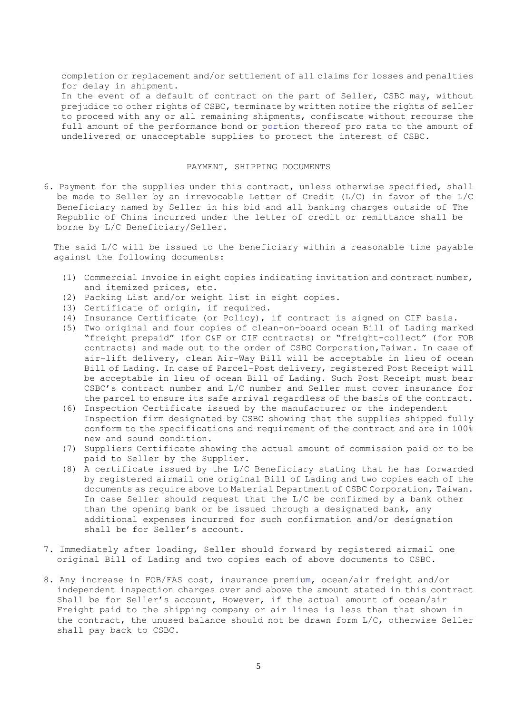completion or replacement and/or settlement of all claims for losses and penalties for delay in shipment.

In the event of a default of contract on the part of Seller, CSBC may, without prejudice to other rights of CSBC, terminate by written notice the rights of seller to proceed with any or all remaining shipments, confiscate without recourse the full amount of the performance bond or portion thereof pro rata to the amount of undelivered or unacceptable supplies to protect the interest of CSBC.

# PAYMENT, SHIPPING DOCUMENTS

6. Payment for the supplies under this contract, unless otherwise specified, shall be made to Seller by an irrevocable Letter of Credit (L/C) in favor of the L/C Beneficiary named by Seller in his bid and all banking charges outside of The Republic of China incurred under the letter of credit or remittance shall be borne by L/C Beneficiary/Seller.

The said L/C will be issued to the beneficiary within a reasonable time payable against the following documents:

- (1) Commercial Invoice in eight copies indicating invitation and contract number, and itemized prices, etc.
- (2) Packing List and/or weight list in eight copies.
- (3) Certificate of origin, if required.
- (4) Insurance Certificate (or Policy), if contract is signed on CIF basis.
- (5) Two original and four copies of clean-on-board ocean Bill of Lading marked "freight prepaid" (for C&F or CIF contracts) or "freight-collect" (for FOB contracts) and made out to the order of CSBC Corporation,Taiwan. In case of air-lift delivery, clean Air-Way Bill will be acceptable in lieu of ocean Bill of Lading. In case of Parcel-Post delivery, registered Post Receipt will be acceptable in lieu of ocean Bill of Lading. Such Post Receipt must bear CSBC's contract number and L/C number and Seller must cover insurance for the parcel to ensure its safe arrival regardless of the basis of the contract.
- (6) Inspection Certificate issued by the manufacturer or the independent Inspection firm designated by CSBC showing that the supplies shipped fully conform to the specifications and requirement of the contract and are in 100% new and sound condition.
- (7) Suppliers Certificate showing the actual amount of commission paid or to be paid to Seller by the Supplier.
- (8) A certificate issued by the L/C Beneficiary stating that he has forwarded by registered airmail one original Bill of Lading and two copies each of the documents as require above to Material Department of CSBC Corporation, Taiwan. In case Seller should request that the L/C be confirmed by a bank other than the opening bank or be issued through a designated bank, any additional expenses incurred for such confirmation and/or designation shall be for Seller's account.
- 7. Immediately after loading, Seller should forward by registered airmail one original Bill of Lading and two copies each of above documents to CSBC.
- 8. Any increase in FOB/FAS cost, insurance premium, ocean/air freight and/or independent inspection charges over and above the amount stated in this contract Shall be for Seller's account, However, if the actual amount of ocean/air Freight paid to the shipping company or air lines is less than that shown in the contract, the unused balance should not be drawn form L/C, otherwise Seller shall pay back to CSBC.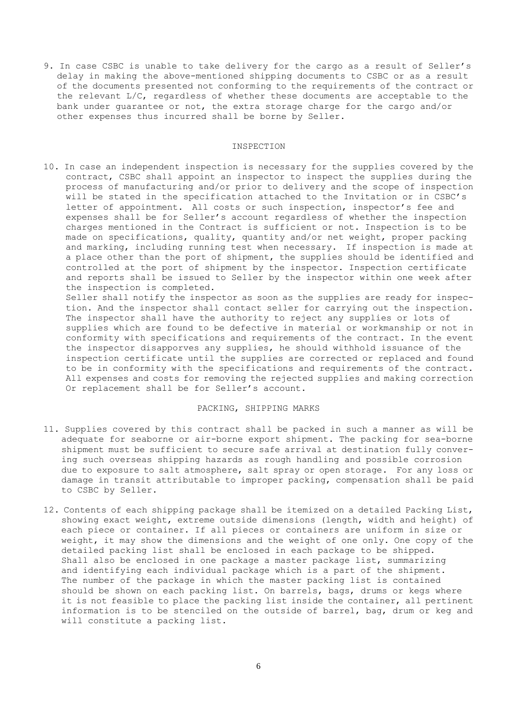9. In case CSBC is unable to take delivery for the cargo as a result of Seller's delay in making the above-mentioned shipping documents to CSBC or as a result of the documents presented not conforming to the requirements of the contract or the relevant L/C, regardless of whether these documents are acceptable to the bank under guarantee or not, the extra storage charge for the cargo and/or other expenses thus incurred shall be borne by Seller.

# INSPECTION

10. In case an independent inspection is necessary for the supplies covered by the contract, CSBC shall appoint an inspector to inspect the supplies during the process of manufacturing and/or prior to delivery and the scope of inspection will be stated in the specification attached to the Invitation or in CSBC's letter of appointment. All costs or such inspection, inspector's fee and expenses shall be for Seller's account regardless of whether the inspection charges mentioned in the Contract is sufficient or not. Inspection is to be made on specifications, quality, quantity and/or net weight, proper packing and marking, including running test when necessary. If inspection is made at a place other than the port of shipment, the supplies should be identified and controlled at the port of shipment by the inspector. Inspection certificate and reports shall be issued to Seller by the inspector within one week after the inspection is completed.

 Seller shall notify the inspector as soon as the supplies are ready for inspec tion. And the inspector shall contact seller for carrying out the inspection. The inspector shall have the authority to reject any supplies or lots of supplies which are found to be defective in material or workmanship or not in conformity with specifications and requirements of the contract. In the event the inspector disapporves any supplies, he should withhold issuance of the inspection certificate until the supplies are corrected or replaced and found to be in conformity with the specifications and requirements of the contract. All expenses and costs for removing the rejected supplies and making correction Or replacement shall be for Seller's account.

# PACKING, SHIPPING MARKS

- 11. Supplies covered by this contract shall be packed in such a manner as will be adequate for seaborne or air-borne export shipment. The packing for sea-borne shipment must be sufficient to secure safe arrival at destination fully conver ing such overseas shipping hazards as rough handling and possible corrosion due to exposure to salt atmosphere, salt spray or open storage. For any loss or damage in transit attributable to improper packing, compensation shall be paid to CSBC by Seller.
- 12. Contents of each shipping package shall be itemized on a detailed Packing List, showing exact weight, extreme outside dimensions (length, width and height) of each piece or container. If all pieces or containers are uniform in size or weight, it may show the dimensions and the weight of one only. One copy of the detailed packing list shall be enclosed in each package to be shipped. Shall also be enclosed in one package a master package list, summarizing and identifying each individual package which is a part of the shipment. The number of the package in which the master packing list is contained should be shown on each packing list. On barrels, bags, drums or kegs where it is not feasible to place the packing list inside the container, all pertinent information is to be stenciled on the outside of barrel, bag, drum or keg and will constitute a packing list.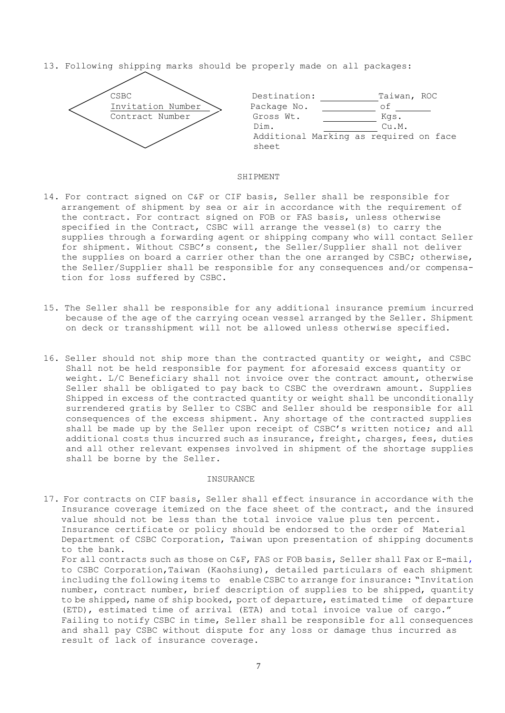13. Following shipping marks should be properly made on all packages:



| <b>CSBC</b>       | Destination:                           | Taiwan, ROC |  |
|-------------------|----------------------------------------|-------------|--|
| Invitation Number | Package No.                            |             |  |
| Contract Number   | Gross Wt.                              | Kas.        |  |
|                   | Dim.                                   | Cu.M.       |  |
|                   | Additional Marking as required on face |             |  |
|                   | sheet                                  |             |  |

#### SHIPMENT

- 14. For contract signed on C&F or CIF basis, Seller shall be responsible for arrangement of shipment by sea or air in accordance with the requirement of the contract. For contract signed on FOB or FAS basis, unless otherwise specified in the Contract, CSBC will arrange the vessel(s) to carry the supplies through a forwarding agent or shipping company who will contact Seller for shipment. Without CSBC's consent, the Seller/Supplier shall not deliver the supplies on board a carrier other than the one arranged by CSBC; otherwise, the Seller/Supplier shall be responsible for any consequences and/or compensa tion for loss suffered by CSBC.
- 15. The Seller shall be responsible for any additional insurance premium incurred because of the age of the carrying ocean vessel arranged by the Seller. Shipment on deck or transshipment will not be allowed unless otherwise specified.
- 16. Seller should not ship more than the contracted quantity or weight, and CSBC Shall not be held responsible for payment for aforesaid excess quantity or weight. L/C Beneficiary shall not invoice over the contract amount, otherwise Seller shall be obligated to pay back to CSBC the overdrawn amount. Supplies Shipped in excess of the contracted quantity or weight shall be unconditionally surrendered gratis by Seller to CSBC and Seller should be responsible for all consequences of the excess shipment. Any shortage of the contracted supplies shall be made up by the Seller upon receipt of CSBC's written notice; and all additional costs thus incurred such as insurance, freight, charges, fees, duties and all other relevant expenses involved in shipment of the shortage supplies shall be borne by the Seller.

# **INSURANCE**

17. For contracts on CIF basis, Seller shall effect insurance in accordance with the Insurance coverage itemized on the face sheet of the contract, and the insured value should not be less than the total invoice value plus ten percent. Insurance certificate or policy should be endorsed to the order of Material Department of CSBC Corporation, Taiwan upon presentation of shipping documents to the bank. For all contracts such as those on C&F, FAS or FOB basis, Seller shall Fax or E-mail, to CSBC Corporation,Taiwan (Kaohsiung), detailed particulars of each shipment including the following items to enable CSBC to arrange for insurance: "Invitation number, contract number, brief description of supplies to be shipped, quantity to be shipped, name of ship booked, port of departure, estimated time of departure (ETD), estimated time of arrival (ETA) and total invoice value of cargo." Failing to notify CSBC in time, Seller shall be responsible for all consequences and shall pay CSBC without dispute for any loss or damage thus incurred as result of lack of insurance coverage.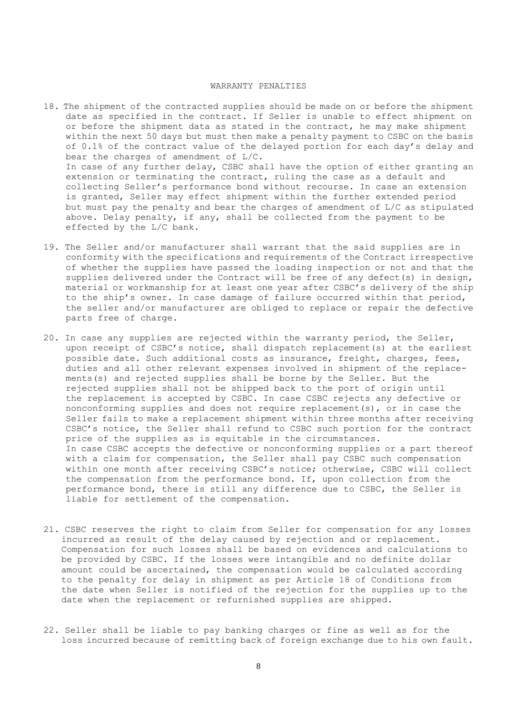#### WARRANTY PENALTIES

- 18. The shipment of the contracted supplies should be made on or before the shipment date as specified in the contract. If Seller is unable to effect shipment on or before the shipment data as stated in the contract, he may make shipment within the next 50 days but must then make a penalty payment to CSBC on the basis of 0.1% of the contract value of the delayed portion for each day's delay and bear the charges of amendment of L/C. In case of any further delay, CSBC shall have the option of either granting an extension or terminating the contract, ruling the case as a default and collecting Seller's performance bond without recourse. In case an extension is granted, Seller may effect shipment within the further extended period but must pay the penalty and bear the charges of amendment of L/C as stipulated above. Delay penalty, if any, shall be collected from the payment to be effected by the L/C bank.
- 19. The Seller and/or manufacturer shall warrant that the said supplies are in conformity with the specifications and requirements of the Contract irrespective of whether the supplies have passed the loading inspection or not and that the supplies delivered under the Contract will be free of any defect(s) in design, material or workmanship for at least one year after CSBC's delivery of the ship to the ship's owner. In case damage of failure occurred within that period, the seller and/or manufacturer are obliged to replace or repair the defective parts free of charge.
- 20. In case any supplies are rejected within the warranty period, the Seller, upon receipt of CSBC's notice, shall dispatch replacement(s) at the earliest possible date. Such additional costs as insurance, freight, charges, fees, duties and all other relevant expenses involved in shipment of the replace ments(s) and rejected supplies shall be borne by the Seller. But the rejected supplies shall not be shipped back to the port of origin until the replacement is accepted by CSBC. In case CSBC rejects any defective or nonconforming supplies and does not require replacement(s), or in case the Seller fails to make a replacement shipment within three months after receiving CSBC's notice, the Seller shall refund to CSBC such portion for the contract price of the supplies as is equitable in the circumstances. In case CSBC accepts the defective or nonconforming supplies or a part thereof with a claim for compensation, the Seller shall pay CSBC such compensation within one month after receiving CSBC's notice; otherwise, CSBC will collect the compensation from the performance bond. If, upon collection from the performance bond, there is still any difference due to CSBC, the Seller is liable for settlement of the compensation.
- 21. CSBC reserves the right to claim from Seller for compensation for any losses incurred as result of the delay caused by rejection and or replacement. Compensation for such losses shall be based on evidences and calculations to be provided by CSBC. If the losses were intangible and no definite dollar amount could be ascertained, the compensation would be calculated according to the penalty for delay in shipment as per Article 18 of Conditions from the date when Seller is notified of the rejection for the supplies up to the date when the replacement or refurnished supplies are shipped.
- 22. Seller shall be liable to pay banking charges or fine as well as for the loss incurred because of remitting back of foreign exchange due to his own fault.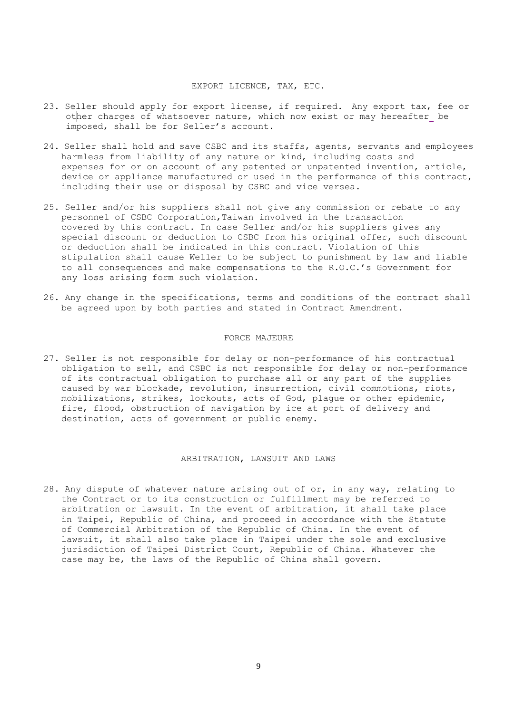### EXPORT LICENCE, TAX, ETC.

- 23. Seller should apply for export license, if required. Any export tax, fee or other charges of whatsoever nature, which now exist or may hereafter be imposed, shall be for Seller's account.
- 24. Seller shall hold and save CSBC and its staffs, agents, servants and employees harmless from liability of any nature or kind, including costs and expenses for or on account of any patented or unpatented invention, article, device or appliance manufactured or used in the performance of this contract, including their use or disposal by CSBC and vice versea.
- 25. Seller and/or his suppliers shall not give any commission or rebate to any personnel of CSBC Corporation,Taiwan involved in the transaction covered by this contract. In case Seller and/or his suppliers gives any special discount or deduction to CSBC from his original offer, such discount or deduction shall be indicated in this contract. Violation of this stipulation shall cause Weller to be subject to punishment by law and liable to all consequences and make compensations to the R.O.C.'s Government for any loss arising form such violation.
- 26. Any change in the specifications, terms and conditions of the contract shall be agreed upon by both parties and stated in Contract Amendment.

# FORCE MAJEURE

27. Seller is not responsible for delay or non-performance of his contractual obligation to sell, and CSBC is not responsible for delay or non-performance of its contractual obligation to purchase all or any part of the supplies caused by war blockade, revolution, insurrection, civil commotions, riots, mobilizations, strikes, lockouts, acts of God, plague or other epidemic, fire, flood, obstruction of navigation by ice at port of delivery and destination, acts of government or public enemy.

# ARBITRATION, LAWSUIT AND LAWS

28. Any dispute of whatever nature arising out of or, in any way, relating to the Contract or to its construction or fulfillment may be referred to arbitration or lawsuit. In the event of arbitration, it shall take place in Taipei, Republic of China, and proceed in accordance with the Statute of Commercial Arbitration of the Republic of China. In the event of lawsuit, it shall also take place in Taipei under the sole and exclusive jurisdiction of Taipei District Court, Republic of China. Whatever the case may be, the laws of the Republic of China shall govern.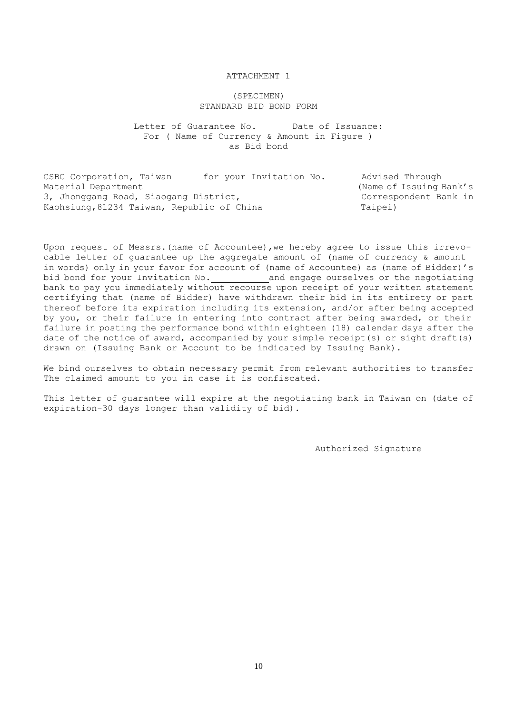### ATTACHMENT 1

# (SPECIMEN) STANDARD BID BOND FORM

Letter of Guarantee No. Date of Issuance: For ( Name of Currency & Amount in Figure ) as Bid bond

| CSBC Corporation, Taiwan                   | for your Invitation No. | Advised Through         |
|--------------------------------------------|-------------------------|-------------------------|
| Material Department                        |                         | (Name of Issuing Bank's |
| 3, Jhonggang Road, Siaogang District,      |                         | Correspondent Bank in   |
| Kaohsiung, 81234 Taiwan, Republic of China | Taipei)                 |                         |

Upon request of Messrs.(name of Accountee),we hereby agree to issue this irrevocable letter of guarantee up the aggregate amount of (name of currency & amount in words) only in your favor for account of (name of Accountee) as (name of Bidder)'s bid bond for your Invitation No. 48 and engage ourselves or the negotiating bank to pay you immediately without recourse upon receipt of your written statement certifying that (name of Bidder) have withdrawn their bid in its entirety or part thereof before its expiration including its extension, and/or after being accepted by you, or their failure in entering into contract after being awarded, or their failure in posting the performance bond within eighteen (18) calendar days after the date of the notice of award, accompanied by your simple receipt(s) or sight draft(s) drawn on (Issuing Bank or Account to be indicated by Issuing Bank).

We bind ourselves to obtain necessary permit from relevant authorities to transfer The claimed amount to you in case it is confiscated.

This letter of guarantee will expire at the negotiating bank in Taiwan on (date of expiration-30 days longer than validity of bid).

Authorized Signature